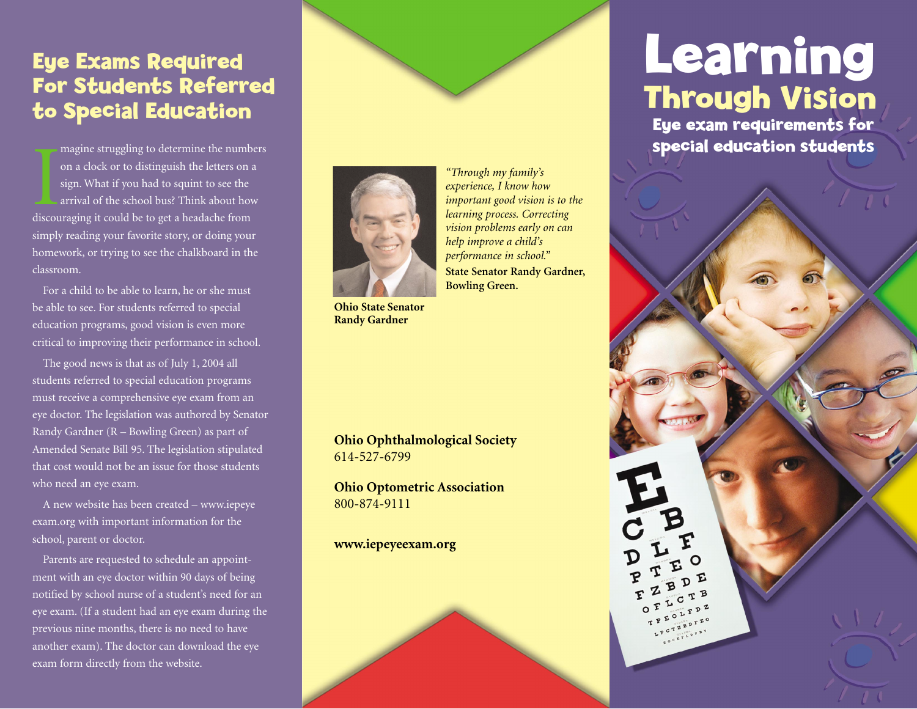### **Eye Exams Required For Students Referred to Special Education**

magine struggling to determine the number on a clock or to distinguish the letters on sign. What if you had to squint to see the arrival of the school bus? Think about ho discouraging it could be to get a headache from magine struggling to determine the numbers on a clock or to distinguish the letters on a sign. What if you had to squint to see the arrival of the school bus? Think about how simply reading your favorite story, or doing your homework, or trying to see the chalkboard in the classroom.

For a child to be able to learn, he or she must be able to see. For students referred to special education programs, good vision is even more critical to improving their performance in school.

The good news is that as of July 1, 2004 all students referred to special education programs must receive a comprehensive eye exam from an eye doctor. The legislation was authored by Senator Randy Gardner (R – Bowling Green) as part of Amended Senate Bill 95. The legislation stipulated that cost would not be an issue for those students who need an eye exam.

A new website has been created – www.iepeye exam.org with important information for the school, parent or doctor.

Parents are requested to schedule an appointment with an eye doctor within 90 days of being notified by school nurse of a student's need for an eye exam. (If a student had an eye exam during the previous nine months, there is no need to have another exam). The doctor can download the eye exam form directly from the website.



*"Through my family's experience, I know how important good vision is to the learning process. Correcting vision problems early on can help improve a child's performance in school."* **State Senator Randy Gardner, Bowling Green.**

**Ohio State Senator Randy Gardner**

**Ohio Ophthalmological Society** 614-527-6799

**Ohio Optometric Association** 800-874-9111

**www.iepeyeexam.org** 

## **Learning Through Vision**

**Eye exam requirements for special education students**

 $D$   $E$ 

CTB

 $\mathbf{B}$ 

OFL OFLOTPPZ LPCTZBDIEO  $\begin{smallmatrix}\n\mathbf{P} & \mathbf{C} & \mathbf{T} & \mathbf{Z} & \mathbf{B} & \mathbf{D} & \mathbf{F} \\
\mathbf{F} & \mathbf{C} & \mathbf{T} & \mathbf{T} & \mathbf{D} & \mathbf{T} & \mathbf{B} \\
\mathbf{T} & \mathbf{D} & \mathbf{C} & \mathbf{D} & \mathbf{T} & \mathbf{D} & \mathbf{T} \\
\mathbf{T} & \mathbf{D} & \mathbf{D} & \mathbf{T} & \mathbf{D} & \mathbf{T} & \mathbf{D}\n\end{smallmatrix}$